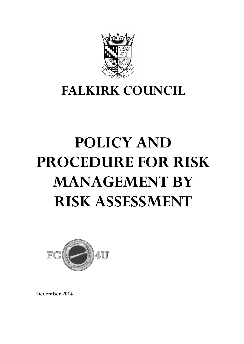

# **FALKIRK COUNCIL**

# **POLICY AND PROCEDURE FOR RISK MANAGEMENT BY RISK ASSESSMENT**



**December 2014**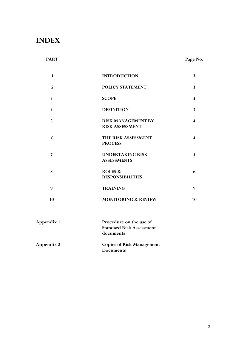# **INDEX**

# PART PART PART

| $\mathbf{1}$            | <b>INTRODUCTION</b>                                                     |                         |
|-------------------------|-------------------------------------------------------------------------|-------------------------|
| $\overline{2}$          | POLICY STATEMENT                                                        | $\overline{\mathbf{3}}$ |
| $\mathbf{3}$            | <b>SCOPE</b>                                                            | $\overline{\mathbf{3}}$ |
| $\overline{\mathbf{4}}$ | <b>DEFINITION</b>                                                       | $\overline{\mathbf{3}}$ |
| 5                       | <b>RISK MANAGEMENT BY</b><br><b>RISK ASSESSMENT</b>                     | $\overline{\mathbf{4}}$ |
| 6                       | THE RISK ASSESSMENT<br><b>PROCESS</b>                                   | $\overline{\mathbf{4}}$ |
| $\overline{7}$          | <b>UNDERTAKING RISK</b><br><b>ASSESSMENTS</b>                           | 5                       |
| 8                       | <b>ROLES &amp;</b><br><b>RESPONSIBILITIES</b>                           | 6                       |
| 9                       | <b>TRAINING</b>                                                         | 9                       |
| 10                      | <b>MONITORING &amp; REVIEW</b>                                          | 10                      |
| <b>Appendix 1</b>       | Procedure on the use of<br><b>Standard Risk Assessment</b><br>documents |                         |
| <b>Appendix 2</b>       | <b>Copies of Risk Management</b><br><b>Documents</b>                    |                         |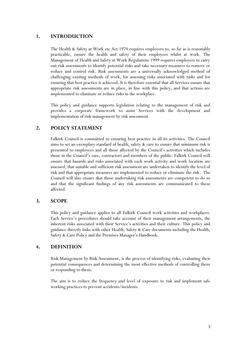#### **1. INTRODUCTION**

The Health & Safety at Work etc Act 1974 requires employers to, so far as is reasonably practicable, ensure the health and safety of their employees whilst at work. The Management of Health and Safety at Work Regulations 1999 requires employers to carry out risk assessments to identify potential risks and take necessary measures to remove or reduce and control risk. Risk assessments are a universally acknowledged method of challenging existing methods of work, for assessing risks associated with tasks and for ensuring that best practice is achieved. It is therefore essential that all Services ensure that appropriate risk assessments are in place, in line with this policy, and that actions are implemented to eliminate or reduce risks in the workplace.

This policy and guidance supports legislation relating to the management of risk and provides a corporate framework to assist Services with the development and implementation of risk management by risk assessment.

#### **2. POLICY STATEMENT**

Falkirk Council is committed to ensuring best practice in all its activities. The Council aims to set an exemplary standard of health, safety & care to ensure that minimum risk is presented to employees and all those affected by the Council's activities which includes those in the Council's care, contractors and members of the public. Falkirk Council will ensure that hazards and risks associated with each work activity and work location are assessed, that suitable and sufficient risk assessment are undertaken to identify the level of risk and that appropriate measures are implemented to reduce or eliminate the risk. The Council will also ensure that those undertaking risk assessments are competent to do so and that the significant findings of any risk assessments are communicated to those affected.

#### **3. SCOPE**

This policy and guidance applies to all Falkirk Council work activities and workplaces. Each Service's procedures should take account of their management arrangements, the inherent risks associated with their Service's activities and their culture. This policy and guidance directly links with other Health, Safety & Care documents including the Health, Safety & Care Policy and the Premises Manager's Handbook.

#### **4. DEFINITION**

Risk Management by Risk Assessment, is the process of identifying risks, evaluating their potential consequences and determining the most effective methods of controlling them or responding to them**.** 

The aim is to reduce the frequency and level of exposure to risk and implement safe working practices to prevent accidents/incidents.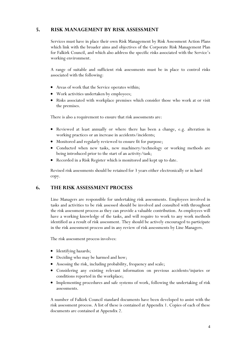### **5. RISK MANAGEMENT BY RISK ASSESSMENT**

Services must have in place their own Risk Management by Risk Assessment Action Plans which link with the broader aims and objectives of the Corporate Risk Management Plan for Falkirk Council, and which also address the specific risks associated with the Service's working environment.

A range of suitable and sufficient risk assessments must be in place to control risks associated with the following:

- Areas of work that the Service operates within;
- Work activities undertaken by employees;
- Risks associated with workplace premises which consider those who work at or visit the premises.

There is also a requirement to ensure that risk assessments are:

- Reviewed at least annually or where there has been a change, e.g. alteration in working practices or an increase in accidents/incidents;
- Monitored and regularly reviewed to ensure fit for purpose;
- Conducted when new tasks, new machinery/technology or working methods are being introduced prior to the start of an activity/task;
- Recorded in a Risk Register which is monitored and kept up to date.

Revised risk assessments should be retained for 3 years either electronically or in hard copy.

#### **6. THE RISK ASSESSMENT PROCESS**

Line Managers are responsible for undertaking risk assessments. Employees involved in tasks and activities to be risk assessed should be involved and consulted with throughout the risk assessment process as they can provide a valuable contribution. As employees will have a working knowledge of the tasks, and will require to work to any work methods identified as a result of risk assessment. They should be actively encouraged to participate in the risk assessment process and in any review of risk assessments by Line Managers.

The risk assessment process involves:

- Identifying hazards;
- Deciding who may be harmed and how;
- Assessing the risk, including probability, frequency and scale;
- Considering any existing relevant information on previous accidents/injuries or conditions reported in the workplace;
- Implementing procedures and safe systems of work, following the undertaking of risk assessments.

A number of Falkirk Council standard documents have been developed to assist with the risk assessment process. A list of these is contained at Appendix 1. Copies of each of these documents are contained at Appendix 2.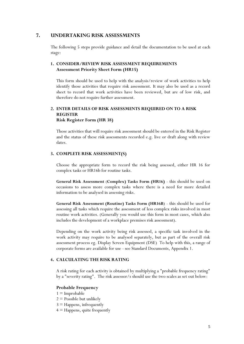#### **7. UNDERTAKING RISK ASSESSMENTS**

The following 5 steps provide guidance and detail the documentation to be used at each stage:

#### **1. CONSIDER/REVIEW RISK ASSESSMENT REQUIREMENTS Assessment Priority Sheet Form (HR15)**

This form should be used to help with the analysis/review of work activities to help identify those activities that require risk assessment. It may also be used as a record sheet to record that work activities have been reviewed, but are of low risk, and therefore do not require further assessment.

#### **2. ENTER DETAILS OF RISK ASSESSMENTS REQUIRED ON TO A RISK REGISTER Risk Register Form (HR 38)**

Those activities that will require risk assessment should be entered in the Risk Register and the status of these risk assessments recorded e.g. live or draft along with review dates.

#### **3. COMPLETE RISK ASSESSMENT(S)**

Choose the appropriate form to record the risk being assessed, either HR 16 for complex tasks or HR16b for routine tasks.

**General Risk Assessment** (**Complex) Tasks Form (HR16)** - this should be used on occasions to assess more complex tasks where there is a need for more detailed information to be analysed in assessing risks.

**General Risk Assessment (Routine) Tasks Form (HR16B**) - this should be used for assessing all tasks which require the assessment of less complex risks involved in most routine work activities. (Generally you would use this form in most cases, which also includes the development of a workplace premises risk assessment).

Depending on the work activity being risk assessed, a specific task involved in the work activity may require to be analysed separately, but as part of the overall risk assessment process eg. Display Screen Equipment (DSE) To help with this, a range of corporate forms are available for use - see Standard Documents, Appendix 1.

#### **4. CALCULATING THE RISK RATING**

A risk rating for each activity is obtained by multiplying a "probable frequency rating" by a "severity rating". The risk assessor/s should use the two scales as set out below:

#### **Probable Frequency**

- $1 =$ Improbable
- $2 =$  Possible but unlikely
- $3 =$  Happens, infrequently
- 4 = Happens, quite frequently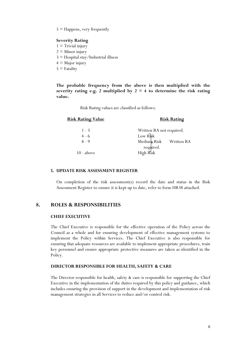$5 =$  Happens, very frequently

#### **Severity Rating**

- $1 =$  Trivial injury
- $2 =$ Minor injury
- 3 = Hospital stay/Industrial illness
- $4 =$  Major injury
- $5 =$  Fatality

**The probable frequency from the above is then multiplied with the** severity rating e.g. 2 multiplied by  $2 = 4$  to determine the risk rating **value.**

Risk Rating values are classified as follows:

| <u> Risk Rating Value</u> | <b>Risk Rating</b>       |  |
|---------------------------|--------------------------|--|
| $1 - 3$                   | Written RA not required. |  |
| $4 - 6$                   | Low Risk                 |  |
| $8 - 9$                   | Medium Risk Written RA   |  |
|                           | required.                |  |
| $10 - above$              | High Risk                |  |

#### **5. UPDATE RISK ASSESSMENT REGISTER**

On completion of the risk assessment(s) record the date and status in the Risk Assessment Register to ensure it is kept up to date, refer to form HR38 attached.

#### **8. ROLES & RESPONSIBILITIES**

#### **CHIEF EXECUTIVE**

The Chief Executive is responsible for the effective operation of the Policy across the Council as a whole and for ensuring development of effective management systems to implement the Policy within Services. The Chief Executive is also responsible for ensuring that adequate resources are available to implement appropriate procedures, train key personnel and ensure appropriate protective measures are taken as identified in the Policy.

#### **DIRECTOR RESPONSIBLE FOR HEALTH, SAFETY & CARE**

The Director responsible for health, safety & care is responsible for supporting the Chief Executive in the implementation of the duties required by this policy and guidance, which includes ensuring the provision of support in the development and implementation of risk management strategies in all Services to reduce and/or control risk.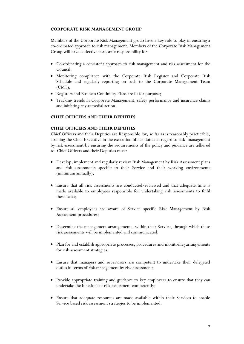#### **CORPORATE RISK MANAGEMENT GROUP**

Members of the Corporate Risk Management group have a key role to play in ensuring a co-ordinated approach to risk management. Members of the Corporate Risk Management Group will have collective corporate responsibility for:

- Co-ordinating a consistent approach to risk management and risk assessment for the Council;
- Monitoring compliance with the Corporate Risk Register and Corporate Risk Schedule and regularly reporting on such to the Corporate Management Team (CMT);
- Registers and Business Continuity Plans are fit for purpose;
- Tracking trends in Corporate Management, safety performance and insurance claims and initiating any remedial action.

#### **CHIEF OFFICERS AND THEIR DEPUTIES**

#### **CHIEF OFFICERS AND THEIR DEPUTIES**

Chief Officers and their Deputies are Responsible for, so far as is reasonably practicable, assisting the Chief Executive in the execution of her duties in regard to risk management by risk assessment by ensuring the requirements of the policy and guidance are adhered to. Chief Officers and their Deputies must:

- Develop, implement and regularly review Risk Management by Risk Assessment plans and risk assessments specific to their Service and their working environments (minimum annually);
- Ensure that all risk assessments are conducted/reviewed and that adequate time is made available to employees responsible for undertaking risk assessments to fulfil these tasks;
- Ensure all employees are aware of Service specific Risk Management by Risk Assessment procedures;
- Determine the management arrangements, within their Service, through which these risk assessments will be implemented and communicated;
- Plan for and establish appropriate processes, procedures and monitoring arrangements for risk assessment strategies;
- Ensure that managers and supervisors are competent to undertake their delegated duties in terms of risk management by risk assessment;
- Provide appropriate training and guidance to key employees to ensure that they can undertake the functions of risk assessment competently;
- Ensure that adequate resources are made available within their Services to enable Service based risk assessment strategies to be implemented.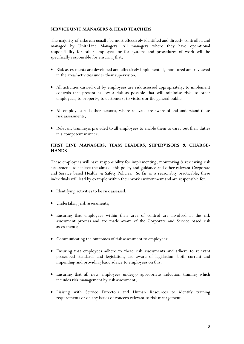#### **SERVICE UNIT MANAGERS & HEAD TEACHERS**

The majority of risks can usually be most effectively identified and directly controlled and managed by Unit/Line Managers. All managers where they have operational responsibility for other employees or for systems and procedures of work will be specifically responsible for ensuring that:

- Risk assessments are developed and effectively implemented, monitored and reviewed in the area/activities under their supervision;
- All activities carried out by employees are risk assessed appropriately, to implement controls that present as low a risk as possible that will minimise risks to other employees, to property, to customers, to visitors or the general public;
- All employees and other persons, where relevant are aware of and understand these risk assessments;
- Relevant training is provided to all employees to enable them to carry out their duties in a competent manner.

#### **FIRST LINE MANAGERS, TEAM LEADERS, SUPERVISORS & CHARGE-HANDS**

These employees will have responsibility for implementing, monitoring & reviewing risk assessments to achieve the aims of this policy and guidance and other relevant Corporate and Service based Health & Safety Policies. So far as is reasonably practicable, these individuals will lead by example within their work environment and are responsible for:

- Identifying activities to be risk assessed;
- Undertaking risk assessments;
- Ensuring that employees within their area of control are involved in the risk assessment process and are made aware of the Corporate and Service based risk assessments;
- Communicating the outcomes of risk assessment to employees;
- Ensuring that employees adhere to these risk assessments and adhere to relevant prescribed standards and legislation, are aware of legislation, both current and impending and providing basic advice to employees on this;
- Ensuring that all new employees undergo appropriate induction training which includes risk management by risk assessment;
- Liaising with Service Directors and Human Resources to identify training requirements or on any issues of concern relevant to risk management.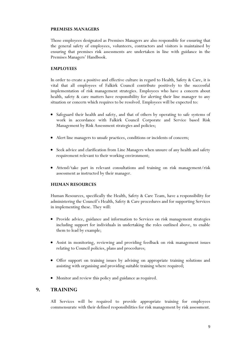#### **PREMISES MANAGERS**

Those employees designated as Premises Managers are also responsible for ensuring that the general safety of employees, volunteers, contractors and visitors is maintained by ensuring that premises risk assessments are undertaken in line with guidance in the Premises Managers' Handbook.

#### **EMPLOYEES**

In order to create a positive and effective culture in regard to Health, Safety & Care, it is vital that all employees of Falkirk Council contribute positively to the successful implementation of risk management strategies. Employees who have a concern about health, safety & care matters have responsibility for alerting their line manager to any situation or concern which requires to be resolved. Employees will be expected to:

- Safeguard their health and safety, and that of others by operating to safe systems of work in accordance with Falkirk Council Corporate and Service based Risk Management by Risk Assessment strategies and policies;
- Alert line managers to unsafe practices, conditions or incidents of concern;
- Seek advice and clarification from Line Managers when unsure of any health and safety requirement relevant to their working environment;
- Attend/take part in relevant consultations and training on risk management/risk assessment as instructed by their manager.

#### **HUMAN RESOURCES**

Human Resources, specifically the Health, Safety & Care Team, have a responsibility for administering the Council's Health, Safety & Care procedures and for supporting Services in implementing these. They will:

- Provide advice, guidance and information to Services on risk management strategies including support for individuals in undertaking the roles outlined above, to enable them to lead by example;
- Assist in monitoring, reviewing and providing feedback on risk management issues relating to Council policies, plans and procedures;
- Offer support on training issues by advising on appropriate training solutions and assisting with organising and providing suitable training where required;
- Monitor and review this policy and guidance as required.

#### **9. TRAINING**

All Services will be required to provide appropriate training for employees commensurate with their defined responsibilities for risk management by risk assessment.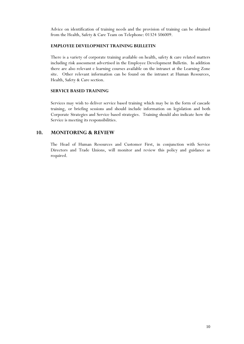Advice on identification of training needs and the provision of training can be obtained from the Health, Safety & Care Team on Telephone: 01324 506009.

#### **EMPLOYEE DEVELOPMENT TRAINING BULLETIN**

There is a variety of corporate training available on health, safety & care related matters including risk assessment advertised in the Employee Development Bulletin. In addition there are also relevant e learning courses available on the intranet at the Learning Zone site. Other relevant information can be found on the intranet at Human Resources, Health, Safety & Care section.

#### **SERVICE BASED TRAINING**

Services may wish to deliver service based training which may be in the form of cascade training, or briefing sessions and should include information on legislation and both Corporate Strategies and Service based strategies. Training should also indicate how the Service is meeting its responsibilities.

#### **10. MONITORING & REVIEW**

The Head of Human Resources and Customer First, in conjunction with Service Directors and Trade Unions, will monitor and review this policy and guidance as required.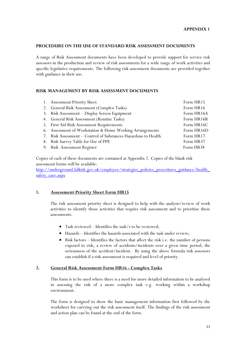#### **PROCEDURE ON THE USE OF STANDARD RISK ASSESSMENT DOCUMENTS**

A range of Risk Assessment documents have been developed to provide support for service risk assessors in the production and review of risk assessments for a wide range of work activities and specific legislative requirements. The following risk assessment documents are provided together with guidance in their use.

#### **RISK MANAGEMENT BY RISK ASSESSMENT DOCUMENTS**

| 1. Assessment Priority Sheet                                   | Form HR15  |
|----------------------------------------------------------------|------------|
| 2. General Risk Assessment (Complex Tasks)                     | Form HR16  |
| 3. Risk Assessment - Display Screen Equipment                  | Form HR16A |
| 4. General Risk Assessment (Routine Tasks)                     | Form HR16B |
| 5. First Aid Risk Assessment Requirements                      | Form HR16C |
| 6. Assessment of Workstation & Home Working Arrangements       | Form HR16D |
| 7. Risk Assessment - Control of Substances Hazardous to Health | Form HR17  |
| 8. Risk Survey Table for Use of PPE                            | Form HR37  |
| 9. Risk Assessment Register                                    | Form HR38  |

Copies of each of these documents are contained at Appendix 2. Copies of the blank risk assessment forms will be available:

[http://underground.falkirk.gov.uk/employee/strategies\\_policies\\_procedures\\_guidance/health\\_](http://underground.falkirk.gov.uk/employee/strategies_policies_procedures_guidance/health_safety_care.aspx) [safety\\_care.aspx](http://underground.falkirk.gov.uk/employee/strategies_policies_procedures_guidance/health_safety_care.aspx)

#### **1. Assessment Priority Sheet Form HR15**

The risk assessment priority sheet is designed to help with the analysis/review of work activities to identify those activities that require risk assessment and to prioritise these assessments.

- Task reviewed Identifies the task/s to be reviewed;
- Hazards Identifies the hazards associated with the task under review;
- Risk factors Identifies the factors that affect the risk i.e. the number of persons exposed to risk, a review of accidents/incidents over a given time period, the seriousness of the accident/incident. By using the above formula risk assessors can establish if a risk assessment is required and level of priority.

#### **2. General Risk Assessment Form HR16 - Complex Tasks**

This form is to be used where there is a need for more detailed information to be analysed in assessing the risk of a more complex task e.g. working within a workshop environment.

The form is designed to show the basic management information first followed by the worksheet for carrying out the risk assessment itself. The findings of the risk assessment and action plan can be found at the end of the form.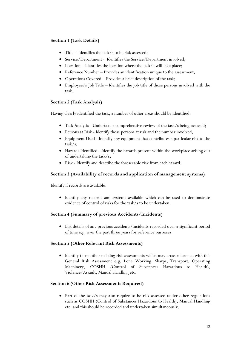#### **Section 1 (Task Details)**

- Title Identifies the task/s to be risk assessed;
- Service/Department Identifies the Service/Department involved;
- Location Identifies the location where the task/s will take place;
- Reference Number Provides an identification unique to the assessment;
- Operations Covered Provides a brief description of the task;
- Employee/s Job Title Identifies the job title of those persons involved with the task.

#### **Section 2 (Task Analysis)**

Having clearly identified the task, a number of other areas should be identified:

- Task Analysis Undertake a comprehensive review of the task/s being assessed;
- Persons at Risk Identify those persons at risk and the number involved;
- Equipment Used Identify any equipment that contributes a particular risk to the task/s;
- Hazards Identified Identify the hazards present within the workplace arising out of undertaking the task/s;
- Risk Identify and describe the foreseeable risk from each hazard;

#### **Section 3 (Availability of records and application of management systems)**

Identify if records are available.

 Identify any records and systems available which can be used to demonstrate evidence of control of risks for the task/s to be undertaken.

#### **Section 4 (Summary of previous Accidents/Incidents)**

 List details of any previous accidents/incidents recorded over a significant period of time e.g. over the past three years for reference purposes.

#### **Section 5 (Other Relevant Risk Assessments)**

 Identify those other existing risk assessments which may cross reference with this General Risk Assessment e.g. Lone Working, Sharps, Transport, Operating Machinery, COSHH (Control of Substances Hazardous to Health), Violence/Assault, Manual Handling etc.

#### **Section 6 (Other Risk Assessments Required)**

• Part of the task/s may also require to be risk assessed under other regulations such as COSHH (Control of Substances Hazardous to Health), Manual Handling etc. and this should be recorded and undertaken simultaneously.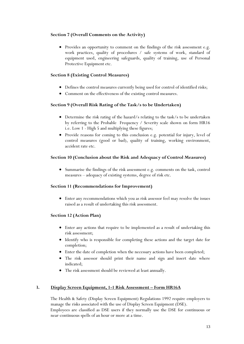#### **Section 7 (Overall Comments on the Activity)**

• Provides an opportunity to comment on the findings of the risk assessment e.g. work practices, quality of procedures / safe systems of work, standard of equipment used, engineering safeguards, quality of training, use of Personal Protective Equipment etc.

#### **Section 8 (Existing Control Measures)**

- Defines the control measures currently being used for control of identified risks;
- Comment on the effectiveness of the existing control measures.

#### **Section 9 (Overall Risk Rating of the Task/s to be Undertaken)**

- Determine the risk rating of the hazard/s relating to the task/s to be undertaken by referring to the Probable Frequency / Severity scale shown on form HR16 i.e. Low 1 - High 5 and multiplying these figures;
- Provide reasons for coming to this conclusion e.g. potential for injury, level of control measures (good or bad), quality of training, working environment, accident rate etc.

#### **Section 10 (Conclusion about the Risk and Adequacy of Control Measures)**

 Summarise the findings of the risk assessment e.g. comments on the task, control measures – adequacy of existing systems, degree of risk etc.

#### **Section 11 (Recommendations for Improvement)**

 Enter any recommendations which you as risk assessor feel may resolve the issues raised as a result of undertaking this risk assessment.

#### **Section 12 (Action Plan)**

- Enter any actions that require to be implemented as a result of undertaking this risk assessment;
- Identify who is responsible for completing these actions and the target date for completion;
- Enter the date of completion when the necessary actions have been completed;
- The risk assessor should print their name and sign and insert date where indicated;
- The risk assessment should be reviewed at least annually.

#### **3. Display Screen Equipment, 1-1 Risk Assessment – Form HR16A**

The Health & Safety (Display Screen Equipment) Regulations 1992 require employers to manage the risks associated with the use of Display Screen Equipment (DSE). Employees are classified as DSE users if they normally use the DSE for continuous or near-continuous spells of an hour or more at a time.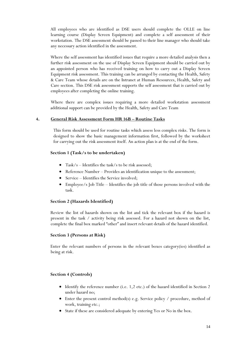All employees who are identified as DSE users should complete the OLLE on line learning course (Display Screen Equipment) and complete a self assessment of their workstation. The DSE assessment should be passed to their line manager who should take any necessary action identified in the assessment.

Where the self assessment has identified issues that require a more detailed analysis then a further risk assessment on the use of Display Screen Equipment should be carried out by an appointed person who has received training on how to carry out a Display Screen Equipment risk assessment. This training can be arranged by contacting the Health, Safety & Care Team whose details are on the Intranet at Human Resources, Health, Safety and Care section. This DSE risk assessment supports the self assessment that is carried out by employees after completing the online training.

Where there are complex issues requiring a more detailed workstation assessment additional support can be provided by the Health, Safety and Care Team

#### **4. General Risk Assessment Form HR 16B – Routine Tasks**

This form should be used for routine tasks which assess less complex risks. The form is designed to show the basic management information first, followed by the worksheet for carrying out the risk assessment itself. An action plan is at the end of the form.

#### **Section 1 (Task/s to be undertaken)**

- Task/s Identifies the task/s to be risk assessed;
- Reference Number Provides an identification unique to the assessment;
- Service Identifies the Service involved;
- Employee/s Job Title Identifies the job title of those persons involved with the task.

#### **Section 2 (Hazards Identified)**

Review the list of hazards shown on the list and tick the relevant box if the hazard is present in the task / activity being risk assessed. For a hazard not shown on the list, complete the final box marked "other" and insert relevant details of the hazard identified.

#### **Section 3 (Persons at Risk)**

Enter the relevant numbers of persons in the relevant boxes category(ies) identified as being at risk.

#### **Section 4 (Controls)**

- Identify the reference number (i.e. 1,2 etc.) of the hazard identified in Section 2 under hazard no;
- Enter the present control method(s) e.g. Service policy / procedure, method of work, training etc.;
- State if these are considered adequate by entering Yes or No in the box.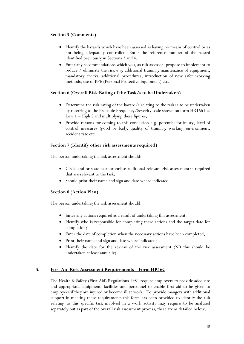#### **Section 5 (Comments)**

- Identify the hazards which have been assessed as having no means of control or as not being adequately controlled. Enter the reference number of the hazard identified previously in Sections 2 and 4;
- Enter any recommendations which you, as risk assessor, propose to implement to reduce / eliminate the risk e.g. additional training, maintenance of equipment, mandatory checks, additional procedures, introduction of new safer working methods, use of PPE (Personal Protective Equipment) etc.;

#### **Section 6 (Overall Risk Rating of the Task/s to be Undertaken)**

- Determine the risk rating of the hazard/s relating to the task/s to be undertaken by referring to the Probable Frequency/Severity scale shown on form HR16b i.e. Low 1 – High 5 and multiplying these figures;
- Provide reasons for coming to this conclusion e.g. potential for injury, level of control measures (good or bad), quality of training, working environment, accident rate etc.

#### **Section 7 (Identify other risk assessments required)**

The person undertaking the risk assessment should:

- Circle and or state as appropriate additional relevant risk assessment/s required that are relevant to the task;
- Should print their name and sign and date where indicated.

#### **Section 8 (Action Plan)**

The person undertaking the risk assessment should:

- Enter any actions required as a result of undertaking this assessment;
- Identify who is responsible for completing these actions and the target date for completion;
- Enter the date of completion when the necessary actions have been completed;
- Print their name and sign and date where indicated;
- Identify the date for the review of the risk assessment (NB this should be undertaken at least annually).

#### **5. First Aid Risk Assessment Requirements – Form HR16C**

The Health & Safety (First Aid) Regulations 1981 require employers to provide adequate and appropriate equipment, facilities and personnel to enable first aid to be given to employees if they are injured or become ill at work. To provide mangers with additional support in meeting these requirements this form has been provided to identify the risk relating to this specific task involved in a work activity may require to be analysed separately but as part of the overall risk assessment process, these are as detailed below.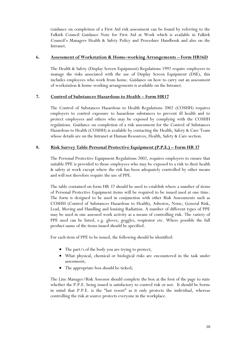Guidance on completion of a First Aid risk assessment can be found by referring to the Falkirk Council Guidance Note for First Aid at Work which is available in Falkirk Council's Managers Health & Safety Policy and Procedure Handbook and also on the Intranet.

#### **6. Assessment of Workstation & Home-working Arrangements – Form HR16D**

The Health & Safety (Display Screen Equipment) Regulations 1992 require employers to manage the risks associated with the use of Display Screen Equipment (DSE), this includes employees who work from home. Guidance on how to carry out an assessment of workstation & home-working arrangements is available on the Intranet.

#### **7. Control of Substances Hazardous to Health – Form HR17**

The Control of Substances Hazardous to Health Regulations 2002 (COSHH) requires employers to control exposure to hazardous substances to prevent ill health and to protect employees and others who may be exposed by complying with the COSHH regulations. Guidance on completion of a risk assessment for the Control of Substances Hazardous to Health (COSHH) is available by contacting the Health, Safety & Care Team whose details are on the Intranet at Human Resources, Health, Safety & Care section.

#### **8. Risk Survey Table Personal Protective Equipment (P.P.E.) – Form HR 37**

The Personal Protective Equipment Regulations 2002, requires employers to ensure that suitable PPE is provided to those employees who may be exposed to a risk to their health & safety at work except where the risk has been adequately controlled by other means and will not therefore require the use of PPE.

The table contained on form HR 37 should be used to establish where a number of items of Personal Protective Equipment items will be required to be issued used at one time. The form is designed to be used in conjunction with other Risk Assessments such as COSHH (Control of Substances Hazardous to Health), Asbestos, Noise, General Risk, Lead, Moving and Handling and Ionising Radiation. A number of different types of PPE may be used in one assessed work activity as a means of controlling risk. The variety of PPE used can be listed, e.g. gloves, goggles, respirator etc. Where possible the full product name of the items issued should be specified.

For each item of PPE to be issued, the following should be identified:

- The part/s of the body you are trying to protect;
- What physical, chemical or biological risks are encountered in the task under assessment;
- The appropriate box should be ticked;

The Line Manager/Risk Assessor should complete the box at the foot of the page to state whether the P.P.E. being issued is satisfactory to control risk or not. It should be borne in mind that P.P.E. is the "last resort" as it only protects the individual, whereas controlling the risk at source protects everyone in the workplace.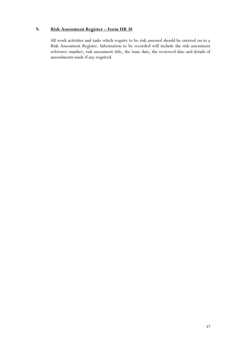#### **9. Risk Assessment Register – Form HR 38**

All work activities and tasks which require to be risk assessed should be entered on to a Risk Assessment Register. Information to be recorded will include the risk assessment reference number, risk assessment title, the issue date, the reviewed date and details of amendments made if any required.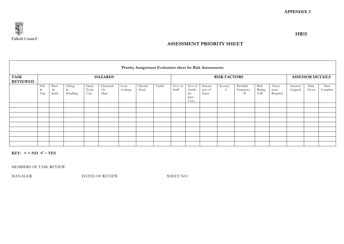

#### **ASSESSMENT PRIORITY SHEET**

| Priority Assignment Evaluation sheet for Risk Assessments |                   |                       |                          |                       |                         |                 |                   |         |                  |                                                 |                               |                     |                            |                       |                            |                      |                         |                  |
|-----------------------------------------------------------|-------------------|-----------------------|--------------------------|-----------------------|-------------------------|-----------------|-------------------|---------|------------------|-------------------------------------------------|-------------------------------|---------------------|----------------------------|-----------------------|----------------------------|----------------------|-------------------------|------------------|
| <b>TASK</b>                                               |                   |                       |                          |                       | <b>HAZARDS</b>          |                 |                   |         |                  |                                                 |                               | <b>RISK FACTORS</b> |                            |                       |                            |                      | <b>ASSESSOR DETAILS</b> |                  |
| <b>REVIEWED</b>                                           |                   |                       |                          |                       |                         |                 |                   |         |                  |                                                 |                               |                     |                            |                       |                            |                      |                         |                  |
|                                                           | Fall<br>&<br>Trip | Burn<br>$\&$<br>Scald | Lifting<br>&<br>Handling | Hand<br>Tools<br>Cuts | Chemicals<br>Or<br>Dust | Lone<br>working | Electric<br>shock | Traffic | No's of<br>Staff | No's of<br>Accide<br>nts<br>(past)<br>$2$ yrs.) | Serious-<br>ness of<br>Injury | Severity<br>А       | Probable<br>Frequency<br>B | Risk<br>Rating<br>AxB | Assess<br>ment<br>Required | Assessor<br>Assigned | Date<br>Given           | Date<br>Complete |
|                                                           |                   |                       |                          |                       |                         |                 |                   |         |                  |                                                 |                               |                     |                            |                       |                            |                      |                         |                  |
|                                                           |                   |                       |                          |                       |                         |                 |                   |         |                  |                                                 |                               |                     |                            |                       |                            |                      |                         |                  |
|                                                           |                   |                       |                          |                       |                         |                 |                   |         |                  |                                                 |                               |                     |                            |                       |                            |                      |                         |                  |
|                                                           |                   |                       |                          |                       |                         |                 |                   |         |                  |                                                 |                               |                     |                            |                       |                            |                      |                         |                  |
|                                                           |                   |                       |                          |                       |                         |                 |                   |         |                  |                                                 |                               |                     |                            |                       |                            |                      |                         |                  |
|                                                           |                   |                       |                          |                       |                         |                 |                   |         |                  |                                                 |                               |                     |                            |                       |                            |                      |                         |                  |
|                                                           |                   |                       |                          |                       |                         |                 |                   |         |                  |                                                 |                               |                     |                            |                       |                            |                      |                         |                  |
|                                                           |                   |                       |                          |                       |                         |                 |                   |         |                  |                                                 |                               |                     |                            |                       |                            |                      |                         |                  |
|                                                           |                   |                       |                          |                       |                         |                 |                   |         |                  |                                                 |                               |                     |                            |                       |                            |                      |                         |                  |

**KEY:**  $x = NO$   $\checkmark$  = **YES** 

MEMBERS OF TASK REVIEW

MANAGER DATES OF REVIEW SHEET NO: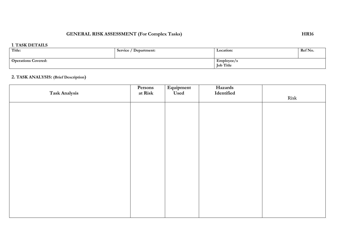# GENERAL RISK ASSESSMENT (For Complex Tasks) HR16

#### **1**. **TASK DETAILS**

| Title:                     | Service / Department: | Location:                      | Ref No. |
|----------------------------|-----------------------|--------------------------------|---------|
| <b>Operations Covered:</b> |                       | Emplovee/s<br><b>Job Title</b> |         |

# **2. TASK ANALYSIS: (Brief Description)**

| Task Analysis | Persons<br>at Risk | Equipment<br>Used | Hazards<br>Identified |      |
|---------------|--------------------|-------------------|-----------------------|------|
|               |                    |                   |                       | Risk |
|               |                    |                   |                       |      |
|               |                    |                   |                       |      |
|               |                    |                   |                       |      |
|               |                    |                   |                       |      |
|               |                    |                   |                       |      |
|               |                    |                   |                       |      |
|               |                    |                   |                       |      |
|               |                    |                   |                       |      |
|               |                    |                   |                       |      |
|               |                    |                   |                       |      |
|               |                    |                   |                       |      |
|               |                    |                   |                       |      |
|               |                    |                   |                       |      |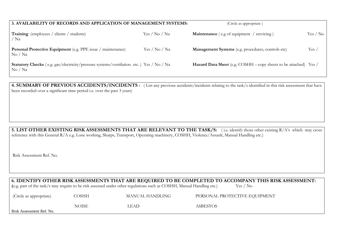| 3. AVAILABILITY OF RECORDS AND APPLICATION OF MANAGEMENT SYSTEMS:                                                               | (Circle as appropriate) |                                                                          |          |
|---------------------------------------------------------------------------------------------------------------------------------|-------------------------|--------------------------------------------------------------------------|----------|
| <b>Training</b> (employees / clients / students)<br>/ Na                                                                        | Yes / No / Na           | <b>Maintenance</b> (e.g of equipment / servicing)                        | Yes / No |
| <b>Personal Protective Equipment</b> (e.g. PPE issue / maintenance)<br>$\mathrm{No}$ / $\mathrm{Na}$                            | Yes / No / Na           | Management Systems (e.g. procedures, controls etc)                       | Yes /    |
| <b>Statutory Checks</b> (e.g. gas/electricity/pressure systems/ventilation etc.) Yes / No / Na<br>$\mathrm{No}$ / $\mathrm{Na}$ |                         | <b>Hazard Data Sheet</b> (e.g. COSHH – copy sheets to be attached) Yes / |          |

**4. SUMMARY OF PREVIOUS ACCIDENTS/INCIDENTS :** (List any previous accidents/incidents relating to the task/s identified in this risk assessment that have been recorded over a significant time period i.e. over the past 3 years)

**5. LIST OTHER EXISTING RISK ASSESSMENTS THAT ARE RELEVANT TO THE TASK/S:** ( i.e. identify those other existing R/A's which may cross reference with this General R/A e.g. Lone working, Sharps, Transport, Operating machinery, COSHH, Violence/Assault, Manual Handling etc.)

Risk Assessment Ref. No.

| 6. IDENTIFY OTHER RISK ASSESSMENTS THAT ARE REQUIRED TO BE COMPLETED TO ACCOMPANY THIS RISK ASSESSMENT:<br>(e.g. part of the task/s may require to be risk assessed under other regulations such as COSHH, Manual Handling etc.)<br>Yes / No |              |                 |                               |  |  |  |
|----------------------------------------------------------------------------------------------------------------------------------------------------------------------------------------------------------------------------------------------|--------------|-----------------|-------------------------------|--|--|--|
| (Circle as appropriate)                                                                                                                                                                                                                      | <b>COSHH</b> | MANUAL HANDLING | PERSONAL PROTECTIVE EQUIPMENT |  |  |  |
| NOISE.<br><b>ASBESTOS</b><br>LEAD.<br>Risk Assessment Ref. No.                                                                                                                                                                               |              |                 |                               |  |  |  |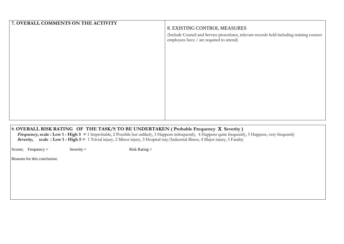| 7. OVERALL COMMENTS ON THE ACTIVITY |                                                                                                                                       |
|-------------------------------------|---------------------------------------------------------------------------------------------------------------------------------------|
|                                     | 8. EXISTING CONTROL MEASURES                                                                                                          |
|                                     | (Include Council and Service procedures, relevant records held including training courses<br>employees have / are required to attend) |
|                                     |                                                                                                                                       |
|                                     |                                                                                                                                       |
|                                     |                                                                                                                                       |
|                                     |                                                                                                                                       |
|                                     |                                                                                                                                       |
|                                     |                                                                                                                                       |
|                                     |                                                                                                                                       |
|                                     |                                                                                                                                       |

#### **9. OVERALL RISK RATING OF THE TASK/S TO BE UNDERTAKEN ( Probable Frequency Severity )**

**Frequency, scale : Low 1 - High 5 =** 1 Improbable, 2 Possible but unlikely, 3 Happens infrequently, 4 Happens quite frequently, 5 Happens, very frequently **Severity,** scale : Low 1 - High 5 = 1 Trivial injury, 2 Minor injury, 3 Hospital stay/Industrial illness, 4 Major injury, 5 Fatality

Scores; Frequency = Severity = Risk Rating =

Reasons for this conclusion: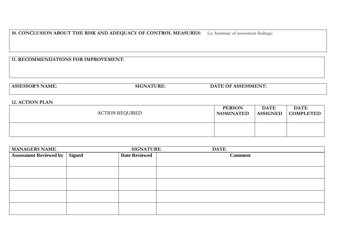# **10. CONCLUSION ABOUT THE RISK AND ADEQUACY OF CONTROL MEASURES:** (i.e. Summary of assessment findings)

#### **11. RECOMMENDATIONS FOR IMPROVEMENT:**

| AS'<br>'AML. | יוי | ---<br>1 J A<br>. . |  |
|--------------|-----|---------------------|--|
|              |     |                     |  |

#### **12. ACTION PLAN**

| <b>ACTION REQUIRED</b> | <b>PERSON</b>    | <b>DATE</b>     | <b>DATE</b> |
|------------------------|------------------|-----------------|-------------|
|                        | <b>NOMINATED</b> | <b>ASSIGNED</b> | COMPLETED   |
|                        |                  |                 |             |

| <b>MANAGERS NAME:</b>         |               | <b>SIGNATURE:</b>    | DATE:          |
|-------------------------------|---------------|----------------------|----------------|
| <b>Assessment Reviewed by</b> | <b>Signed</b> | <b>Date Reviewed</b> | <b>Comment</b> |
|                               |               |                      |                |
|                               |               |                      |                |
|                               |               |                      |                |
|                               |               |                      |                |
|                               |               |                      |                |
|                               |               |                      |                |
|                               |               |                      |                |
|                               |               |                      |                |
|                               |               |                      |                |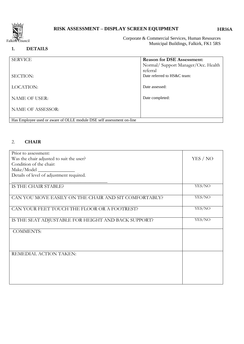

# **RISK ASSESSMENT – DISPLAY SCREEN EQUIPMENT**

#### **HR16A**

Corporate & Commercial Services, Human Resources Municipal Buildings, Falkirk, FK1 5RS

#### **1. DETAILS**

| <b>SERVICE</b>                                                        | <b>Reason for DSE Assessment:</b><br>Normal/ Support Manager/Occ. Health |
|-----------------------------------------------------------------------|--------------------------------------------------------------------------|
| <b>SECTION:</b>                                                       | referral<br>Date referred to HS&C team:                                  |
| LOCATION:                                                             | Date assessed:                                                           |
| <b>NAME OF USER:</b>                                                  | Date completed:                                                          |
| <b>NAME OF ASSESSOR:</b>                                              |                                                                          |
| Has Employee used or aware of OLLE module DSE self assessment on-line |                                                                          |

# 2. **CHAIR**

| Prior to assessment:                                  |          |
|-------------------------------------------------------|----------|
| Was the chair adjusted to suit the user?              | YES / NO |
| Condition of the chair:                               |          |
| Make/Model __                                         |          |
| Details of level of adjustment required.              |          |
|                                                       |          |
| IS THE CHAIR STABLE?                                  | YES/NO   |
|                                                       |          |
| CAN YOU MOVE EASILY ON THE CHAIR AND SIT COMFORTABLY? | YES/NO   |
|                                                       |          |
| CAN YOUR FEET TOUCH THE FLOOR OR A FOOTREST?          | YES/NO   |
|                                                       |          |
| IS THE SEAT ADJUSTABLE FOR HEIGHT AND BACK SUPPORT?   | YES/NO   |
|                                                       |          |
| <b>COMMENTS:</b>                                      |          |
|                                                       |          |
|                                                       |          |
|                                                       |          |
| REMEDIAL ACTION TAKEN:                                |          |
|                                                       |          |
|                                                       |          |
|                                                       |          |
|                                                       |          |
|                                                       |          |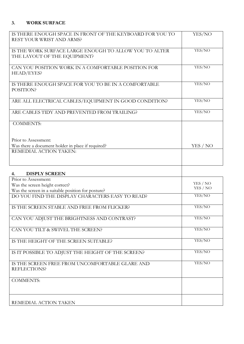# **3. WORK SURFACE**

| IS THERE ENOUGH SPACE IN FRONT OF THE KEYBOARD FOR YOU TO<br>REST YOUR WRIST AND ARMS? | YES/NO   |
|----------------------------------------------------------------------------------------|----------|
| IS THE WORK SURFACE LARGE ENOUGH TO ALLOW YOU TO ALTER<br>THE LAYOUT OF THE EQUIPMENT? | YES/NO   |
| CAN YOU POSITION WORK IN A COMFORTABLE POSITION FOR<br>HEAD/EYES?                      | YES/NO   |
| IS THERE ENOUGH SPACE FOR YOU TO BE IN A COMFORTABLE<br>POSITION?                      | YES/NO   |
| ARE ALL ELECTRICAL CABLES/EQUIPMENT IN GOOD CONDITION?                                 | YES/NO   |
| ARE CABLES TIDY AND PREVENTED FROM TRAILING?                                           | YES/NO   |
| <b>COMMENTS:</b>                                                                       |          |
| Prior to Assessment:                                                                   |          |
| Was there a document holder in place if required?<br>REMEDIAL ACTION TAKEN:            | YES / NO |
|                                                                                        |          |
| <b>DISPLY SCREEN</b><br>4.                                                             |          |
| Prior to Assessment:                                                                   | YES / NO |
| Was the screen height correct?<br>Was the screen in a suitable position for posture?   | YES / NO |
| DO YOU FIND THE DISPLAY CHARACTERS EASY TO READ?                                       | YES/NO   |
| IS THE SCREEN STABLE AND FREE FROM FLICKER?                                            | YES/NO   |
| CAN YOU ADJUST THE BRIGHTNESS AND CONTRAST?                                            | YES/NO   |
| CAN YOU TILT & SWIVEL THE SCREEN?                                                      | YES/NO   |
| IS THE HEIGHT OF THE SCREEN SUITABLE?                                                  | YES/NO   |
| IS IT POSSIBLE TO ADJUST THE HEIGHT OF THE SCREEN?                                     | YES/NO   |
| IS THE SCREEN FREE FROM UNCOMFORTABLE GLARE AND<br>REFLECTIONS?                        | YES/NO   |
| <b>COMMENTS:</b>                                                                       |          |
| REMEDIAL ACTION TAKEN                                                                  |          |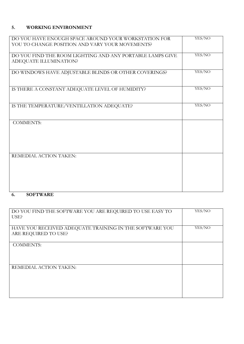# **5. WORKING ENVIRONMENT**

| DO YOU HAVE ENOUGH SPACE AROUND YOUR WORKSTATION FOR      | YES/NO |
|-----------------------------------------------------------|--------|
| YOU TO CHANGE POSITION AND VARY YOUR MOVEMENTS?           |        |
|                                                           |        |
| DO YOU FIND THE ROOM LIGHTING AND ANY PORTABLE LAMPS GIVE | YES/NO |
| ADEQUATE ILLUMINATION?                                    |        |
|                                                           |        |
| DO WINDOWS HAVE ADJUSTABLE BLINDS OR OTHER COVERINGS?     | YES/NO |
|                                                           |        |
|                                                           |        |
| IS THERE A CONSTANT ADEQUATE LEVEL OF HUMIDITY?           | YES/NO |
|                                                           |        |
|                                                           |        |
| IS THE TEMPERATURE/VENTILLATION ADEQUATE?                 | YES/NO |
|                                                           |        |
|                                                           |        |
| <b>COMMENTS:</b>                                          |        |
|                                                           |        |
|                                                           |        |
|                                                           |        |
|                                                           |        |
|                                                           |        |
| REMEDIAL ACTION TAKEN:                                    |        |
|                                                           |        |
|                                                           |        |
|                                                           |        |
|                                                           |        |
|                                                           |        |
| $\alpha$ $\alpha$ where $\alpha$ $\alpha$ $\alpha$        |        |

### **6. SOFTWARE**

| DO YOU FIND THE SOFTWARE YOU ARE REQUIRED TO USE EASY TO<br>USE?                | YES/NO |
|---------------------------------------------------------------------------------|--------|
| HAVE YOU RECEIVED ADEQUATE TRAINING IN THE SOFTWARE YOU<br>ARE REQUIRED TO USE? | YES/NO |
| <b>COMMENTS:</b>                                                                |        |
| REMEDIAL ACTION TAKEN:                                                          |        |
|                                                                                 |        |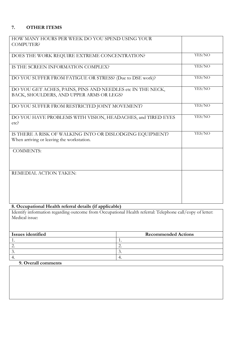### **7. OTHER ITEMS**

| HOW MANY HOURS PER WEEK DO YOU SPEND USING YOUR<br><b>COMPUTER?</b>                                    |        |
|--------------------------------------------------------------------------------------------------------|--------|
| DOES THE WORK REQUIRE EXTREME CONCENTRATION?                                                           | YES/NO |
| IS THE SCREEN INFORMATION COMPLEX?                                                                     | YES/NO |
| DO YOU SUFFER FROM FATIGUE OR STRESS? (Due to DSE work)?                                               | YES/NO |
| DO YOU GET ACHES, PAINS, PINS AND NEEDLES etc IN THE NECK,<br>BACK, SHOULDERS, AND UPPER ARMS OR LEGS? | YES/NO |
| DO YOU SUFFER FROM RESTRICTED JOINT MOVEMENT?                                                          | YES/NO |
| DO YOU HAVE PROBLEMS WITH VISION, HEADACHES, and TIRED EYES<br>etc <sup>2</sup>                        | YES/NO |
| IS THERE A RISK OF WALKING INTO OR DISLODGING EQUIPMENT?<br>When arriving or leaving the workstation.  | YES/NO |
| <b>COMMENTS:</b>                                                                                       |        |
| REMEDIAL ACTION TAKEN:                                                                                 |        |

#### **8. Occupational Health referral details (if applicable)**

Identify information regarding outcome from Occupational Health referral: Telephone call/copy of letter: Medical issue:

| Issues identified | <b>Recommended Actions</b> |
|-------------------|----------------------------|
|                   |                            |
|                   | $\overline{\phantom{a}}$   |
|                   |                            |
|                   |                            |

#### **9. Overall comments**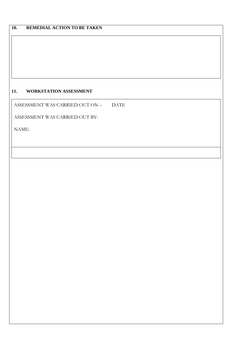## **11. WORKSTATION ASSESSMENT**

ASSESSMENT WAS CARRIED OUT ON – DATE

ASSESSMENT WAS CARRIED OUT BY:

NAME: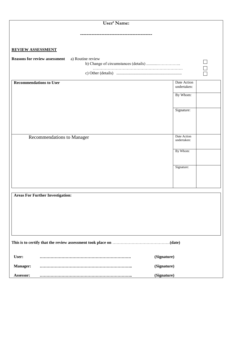| User' Name:                                                                                                                                                                                                                    |                                    |
|--------------------------------------------------------------------------------------------------------------------------------------------------------------------------------------------------------------------------------|------------------------------------|
| ----------------                                                                                                                                                                                                               |                                    |
|                                                                                                                                                                                                                                |                                    |
| <b>REVIEW ASSESSMENT</b>                                                                                                                                                                                                       |                                    |
| <b>Reasons for review assessment</b><br>a) Routine review                                                                                                                                                                      |                                    |
|                                                                                                                                                                                                                                | $\Box$<br>$\overline{\phantom{0}}$ |
| <b>Recommendations to User</b>                                                                                                                                                                                                 | Date Action                        |
|                                                                                                                                                                                                                                | undertaken:                        |
|                                                                                                                                                                                                                                | By Whom:                           |
|                                                                                                                                                                                                                                | Signature:                         |
|                                                                                                                                                                                                                                |                                    |
| Recommendations to Manager                                                                                                                                                                                                     | Date Action                        |
|                                                                                                                                                                                                                                | undertaken:                        |
|                                                                                                                                                                                                                                | By Whom:                           |
|                                                                                                                                                                                                                                |                                    |
|                                                                                                                                                                                                                                | Signature:                         |
|                                                                                                                                                                                                                                |                                    |
|                                                                                                                                                                                                                                |                                    |
| <b>Areas For Further Investigation:</b>                                                                                                                                                                                        |                                    |
|                                                                                                                                                                                                                                |                                    |
|                                                                                                                                                                                                                                |                                    |
|                                                                                                                                                                                                                                |                                    |
|                                                                                                                                                                                                                                |                                    |
| This is to certify that the review assessment took place on manufactured controller that the review assessment took place on manufactured and the review assessment took place on manufactured at the state of the state of th |                                    |
| User:                                                                                                                                                                                                                          | (Signature)                        |
| Manager:                                                                                                                                                                                                                       | (Signature)                        |
| Assessor:                                                                                                                                                                                                                      | (Signature)                        |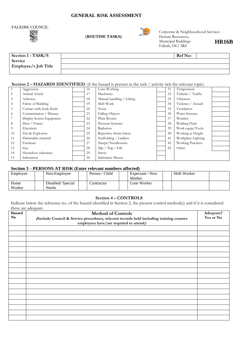#### **GENERAL RISK ASSESSMENT**

# FALKIRK COUNCIL



(**ROUTINE TASKS**)



Corporate & Neighbourhood Services Municipal Buildings Falkirk, FK1 5RS **HR16B**

| Section 1 - TASK/S   | <b>Ref</b> No: |  |
|----------------------|----------------|--|
| Service              |                |  |
| Employee/s Job Title |                |  |
|                      |                |  |

#### **Section 2 – <b>HAZARDS IDENTIFIED**: (if the hazard is present in the task / activity tick the relevant topic)

|                | Aggression               | 16 | Lone Working                      | 31 | Temperature              |  |
|----------------|--------------------------|----|-----------------------------------|----|--------------------------|--|
| 2              | Animal Attack            | 17 | Machinery                         | 32 | Vehicles / Traffic       |  |
| $\mathfrak{Z}$ | Asbestos                 | 18 | Manual handling / Lifting         | 33 | Vibration                |  |
| $\overline{4}$ | Fabric of Building       | 19 | Shift Work                        | 34 | Violence / Assault       |  |
| 5              | Contact with body fluids | 20 | Noise                             | 35 | Ventilation              |  |
| -6             | Contamination / Disease  | 21 | <b>Falling Objects</b>            | 36 | Water Systems            |  |
| 7              | Display Screen Equipment | 22 | Plant Rooms                       | 37 | Weather                  |  |
| -8             | Dust / Fumes             | 23 | Pressure Systems                  | 38 | Welding Flash            |  |
| 9              | Electricity              | 24 | Radiation                         | 39 | Work equip/Tools         |  |
| 10             | Fire & Explosion         | 25 | Repetitive Strain Injury          | 40 | Working at Height        |  |
| 11             | Flammable material       | 26 | Scaffolding / Ladders             | 41 | Workplace Lighting       |  |
| 12             | Furniture                | 27 | Sharps/Needlesticks               | 42 | <b>Working Practices</b> |  |
| 13             | Gas                      | 28 | $\sin / \text{Tip} / \text{Fall}$ | 43 | Other                    |  |
| 14             | Hazardous substance      | 29 | <b>Stress</b>                     |    |                          |  |
| 15             | Infestation              | 30 | Substance Misuse                  |    |                          |  |

#### **Section 3 – PERSONS AT RISK (Enter relevant numbers affected)**

| Employee       | Non-Employee              | Person / Child | Expectant / New<br>Mother | Shift Worker |  |
|----------------|---------------------------|----------------|---------------------------|--------------|--|
| Home<br>Worker | Disabled/Special<br>Needs | Contractor     | Lone Worker               |              |  |

#### **Section 4 – CONTROLS**

Indicate below the reference no. of the hazard identified in Section 2, the present control method(s) and if it is considered these are adequate.

| <b>Hazard</b> | <b>Method of Controls</b>                                                                                                         | Adequate? |
|---------------|-----------------------------------------------------------------------------------------------------------------------------------|-----------|
| No.           | (Include Council & Service procedures, relevant records held including training courses<br>employees have/are required to attend) | Yes or No |
|               |                                                                                                                                   |           |
|               |                                                                                                                                   |           |
|               |                                                                                                                                   |           |
|               |                                                                                                                                   |           |
|               |                                                                                                                                   |           |
|               |                                                                                                                                   |           |
|               |                                                                                                                                   |           |
|               |                                                                                                                                   |           |
|               |                                                                                                                                   |           |
|               |                                                                                                                                   |           |
|               |                                                                                                                                   |           |
|               |                                                                                                                                   |           |
|               |                                                                                                                                   |           |
|               |                                                                                                                                   |           |
|               |                                                                                                                                   |           |
|               |                                                                                                                                   |           |
|               |                                                                                                                                   |           |
|               |                                                                                                                                   |           |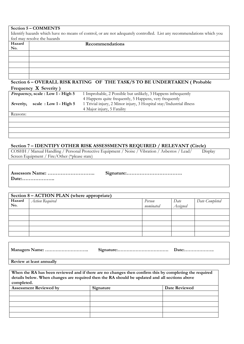#### **Section 5 – COMMENTS**

Identify hazards which have no means of control, or are not adequately controlled. List any recommendations which you feel may resolve the hazards

| Hazard<br>No. | Recommendations |
|---------------|-----------------|
|               |                 |
|               |                 |
|               |                 |
|               |                 |
|               |                 |

#### **Section 6 – OVERALL RISK RATING OF THE TASK/S TO BE UNDERTAKEN ( Probable Frequency Severity )**

|           | <i>Frequency</i> , scale: Low 1 - High 5 | 1 Improbable, 2 Possible but unlikely, 3 Happens infrequently        |
|-----------|------------------------------------------|----------------------------------------------------------------------|
|           |                                          | 4 Happens quite frequently, 5 Happens, very frequently               |
| Severity, | scale: $Low 1 - High 5$                  | 1 Trivial injury, 2 Minor injury, 3 Hospital stay/Industrial illness |
|           |                                          | 4 Major injury, 5 Fatality                                           |
| Reasons:  |                                          |                                                                      |
|           |                                          |                                                                      |

#### **Section 7 – IDENTIFY OTHER RISK ASSESSMENTS REQUIRED / RELEVANT (Circle)**

COSHH / Manual Handling / Personal Protective Equipment / Noise / Vibration / Asbestos / Lead/ Display Screen Equipment / Fire/Other (\*please state)

| Date: |  |
|-------|--|
|       |  |

| Section 8 – ACTION PLAN (where appropriate) |                 |           |          |                |  |
|---------------------------------------------|-----------------|-----------|----------|----------------|--|
| Hazard                                      | Action Required | Person    | Date     | Date Completed |  |
| No.                                         |                 | nominated | Assigned |                |  |
|                                             |                 |           |          |                |  |
|                                             |                 |           |          |                |  |
|                                             |                 |           |          |                |  |
|                                             |                 |           |          |                |  |
|                                             |                 |           |          |                |  |

**Review at least annually**

**When the RA has been reviewed and if there are no changes then confirm this by completing the required details below. When changes are required then the RA should be updated and all sections above completed.** Assessment Reviewed by Signature **Signature** Date Reviewed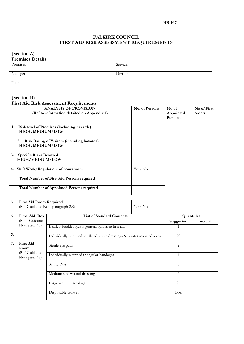#### **HR 16C**

#### **FALKIRK COUNCIL FIRST AID RISK ASSESSMENT REQUIREMENTS**

#### **(Section A)**

| <b>Premises Details</b> |           |  |  |  |
|-------------------------|-----------|--|--|--|
| Premises:               | Service:  |  |  |  |
|                         |           |  |  |  |
| Manager:                | Division: |  |  |  |
|                         |           |  |  |  |
| Date:                   |           |  |  |  |
|                         |           |  |  |  |

#### **(Section B)**

#### **First Aid Risk Assessment Requirements**

| <b>ANALYSIS OF PROVISION</b><br>(Ref to information detailed on Appendix 1) | No. of Persons | No of<br>Appointed<br><b>Persons</b> | No of First<br><b>Aiders</b> |
|-----------------------------------------------------------------------------|----------------|--------------------------------------|------------------------------|
| <b>Risk level of Premises (including hazards)</b><br>1.<br>HIGH/MEDIUM/LOW  |                |                                      |                              |
| <b>Risk Rating of Visitors (including hazards)</b><br>2.<br>HIGH/MEDIUM/LOW |                |                                      |                              |
| <b>Specific Risks Involved</b><br>3.<br>HIGH/MEDIUM/LOW                     |                |                                      |                              |
| Shift Work/Regular out of hours work<br>4.                                  | Yes/No         |                                      |                              |
| <b>Total Number of First Aid Persons required</b>                           |                |                                      |                              |
| <b>Total Number of Appointed Persons required</b>                           |                |                                      |                              |

| 5.                              | First Aid Room Required?                          |                                                                          |            |                |        |
|---------------------------------|---------------------------------------------------|--------------------------------------------------------------------------|------------|----------------|--------|
|                                 |                                                   | (Ref Guidance Note paragraph 2.8)                                        | Yes/No     |                |        |
|                                 |                                                   |                                                                          |            |                |        |
| 6.                              | First Aid Box<br><b>List of Standard Contents</b> |                                                                          | Quantities |                |        |
|                                 | (Ref Guidance                                     |                                                                          |            | Suggested      | Actual |
|                                 | Note para 2.7)                                    | Leaflet/booklet giving general guidance first aid                        |            | 1              |        |
| &                               |                                                   | Individually wrapped sterile adhesive dressings & plaster assorted sizes |            | 20             |        |
| 7.                              | <b>First Aid</b><br>Room                          | Sterile eye pads                                                         |            | $\overline{2}$ |        |
| (Ref Guidance<br>Note para 2.8) |                                                   | Individually wrapped triangular bandages                                 |            | 4              |        |
|                                 | Safety Pins                                       |                                                                          | 6          |                |        |
|                                 |                                                   | Medium size wound dressings                                              |            | 6              |        |
|                                 |                                                   | Large wound dressings                                                    |            | 24             |        |
|                                 | Disposable Gloves                                 |                                                                          | <b>Box</b> |                |        |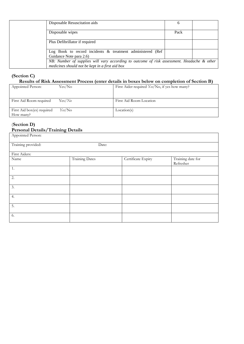| Disposable Resuscitation aids                                                                                                                                            | O    |  |
|--------------------------------------------------------------------------------------------------------------------------------------------------------------------------|------|--|
| Disposable wipes                                                                                                                                                         | Pack |  |
| Plus Defibrillator if required                                                                                                                                           |      |  |
| Log Book to record incidents & treatment administered (Ref                                                                                                               |      |  |
| Guidance Note para 2.6)<br>NB: Number of supplies will vary according to outcome of risk assessment. Headache & other<br>medicines should not be kept in a first aid box |      |  |

### **(Section C) Results of Risk Assessment Process (enter details in boxes below on completion of Section B)**

| Appointed Person:                       | Yes/No | First Aider required Yes/No, if yes how many? |
|-----------------------------------------|--------|-----------------------------------------------|
| First Aid Room required                 | Yes/No | First Aid Room Location                       |
| First Aid box(es) required<br>How many? | Yes/No | Location(s)                                   |

#### (**Section D) Personal Details/Training Details**

| Appointed Person:  |                       |                    |                                |
|--------------------|-----------------------|--------------------|--------------------------------|
| Training provided: | Date:                 |                    |                                |
| First Aiders:      |                       |                    |                                |
| Name               | <b>Training Dates</b> | Certificate Expiry | Training date for<br>Refresher |
| 1.                 |                       |                    |                                |
| $\overline{2}$ .   |                       |                    |                                |
| $\overline{3}$ .   |                       |                    |                                |
| 4.                 |                       |                    |                                |
| 5.                 |                       |                    |                                |
| 6.                 |                       |                    |                                |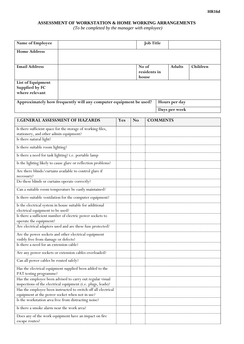#### **ASSESSMENT OF WORKSTATION & HOME WORKING ARRANGEMENTS**

 *(To be completed by the manager with employee)* 

| Name of Employee                                                  |                                                                   |     |           | <b>Job Title</b> |                 |               |          |
|-------------------------------------------------------------------|-------------------------------------------------------------------|-----|-----------|------------------|-----------------|---------------|----------|
| <b>Home Address</b>                                               |                                                                   |     |           |                  |                 |               |          |
|                                                                   |                                                                   |     |           |                  |                 |               |          |
| <b>Email Address</b>                                              |                                                                   |     |           | No of            |                 | <b>Adults</b> | Children |
|                                                                   |                                                                   |     |           | residents in     |                 |               |          |
| List of Equipment                                                 |                                                                   |     |           | house            |                 |               |          |
| Supplied by FC                                                    |                                                                   |     |           |                  |                 |               |          |
| where relevant                                                    |                                                                   |     |           |                  |                 |               |          |
|                                                                   | Approximately how frequently will any computer equipment be used? |     |           |                  |                 | Hours per day |          |
|                                                                   |                                                                   |     |           |                  |                 | Days per week |          |
|                                                                   |                                                                   |     |           |                  |                 |               |          |
|                                                                   | <b>1.GENERAL ASSESSMENT OF HAZARDS</b>                            | Yes | <b>No</b> |                  | <b>COMMENTS</b> |               |          |
|                                                                   | Is there sufficient space for the storage of working files,       |     |           |                  |                 |               |          |
| stationery, and other admin equipment?<br>Is there natural light? |                                                                   |     |           |                  |                 |               |          |
|                                                                   |                                                                   |     |           |                  |                 |               |          |
| Is there suitable room lighting?                                  |                                                                   |     |           |                  |                 |               |          |
| Is there a need for task lighting? i.e. portable lamp             |                                                                   |     |           |                  |                 |               |          |
|                                                                   | Is the lighting likely to cause glare or reflection problems?     |     |           |                  |                 |               |          |
|                                                                   | Are there blinds/curtains available to control glare if           |     |           |                  |                 |               |          |
| necessary?                                                        |                                                                   |     |           |                  |                 |               |          |
| Do these blinds or curtains operate correctly?                    |                                                                   |     |           |                  |                 |               |          |
|                                                                   | Can a suitable room temperature be easily maintained?             |     |           |                  |                 |               |          |
|                                                                   | Is there suitable ventilation for the computer equipment?         |     |           |                  |                 |               |          |
|                                                                   | Is the electrical system in house suitable for additional         |     |           |                  |                 |               |          |
| electrical equipment to be used?                                  | Is there a sufficient number of electric power sockets to         |     |           |                  |                 |               |          |
| operate the equipment?                                            |                                                                   |     |           |                  |                 |               |          |
|                                                                   | Are electrical adapters used and are these fuse protected?        |     |           |                  |                 |               |          |
|                                                                   | Are the power sockets and other electrical equipment              |     |           |                  |                 |               |          |
| visibly free from damage or defects?                              |                                                                   |     |           |                  |                 |               |          |
| Is there a need for an extension cable?                           |                                                                   |     |           |                  |                 |               |          |
|                                                                   | Are any power sockets or extension cables overloaded?             |     |           |                  |                 |               |          |
| Can all power cables be routed safely?                            |                                                                   |     |           |                  |                 |               |          |
| PAT testing programme?                                            | Has the electrical equipment supplied been added to the           |     |           |                  |                 |               |          |
|                                                                   | Has the employee been advised to carry out regular visual         |     |           |                  |                 |               |          |
|                                                                   | inspections of the electrical equipment (i.e. plugs, leads)?      |     |           |                  |                 |               |          |
|                                                                   | Has the employee been instructed to switch off all electrical     |     |           |                  |                 |               |          |
| equipment at the power socket when not in use?                    |                                                                   |     |           |                  |                 |               |          |
| Is the workstation area free from distracting noise?              |                                                                   |     |           |                  |                 |               |          |
| Is there a smoke alarm near the work area?                        |                                                                   |     |           |                  |                 |               |          |
|                                                                   | Does any of the work equipment have an impact on fire             |     |           |                  |                 |               |          |
| escape routes?                                                    |                                                                   |     |           |                  |                 |               |          |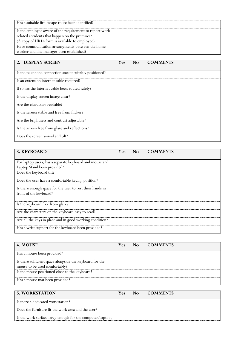| Has a suitable fire escape route been identified?       |  |  |
|---------------------------------------------------------|--|--|
| Is the employee aware of the requirement to report work |  |  |
| related accidents that happen on the premises?          |  |  |
| (A copy of HR14 form is available to employee)          |  |  |
| Have communication arrangements between the home        |  |  |
| worker and line manager been established?               |  |  |

| 2. DISPLAY SCREEN                                       | <b>Yes</b> | <b>No</b> | <b>COMMENTS</b> |
|---------------------------------------------------------|------------|-----------|-----------------|
|                                                         |            |           |                 |
| Is the telephone connection socket suitably positioned? |            |           |                 |
| Is an extension internet cable required?                |            |           |                 |
| If so has the internet cable been routed safely?        |            |           |                 |
| Is the display screen image clear?                      |            |           |                 |
| Are the characters readable?                            |            |           |                 |
| Is the screen stable and free from flicker?             |            |           |                 |
| Are the brightness and contrast adjustable?             |            |           |                 |
| Is the screen free from glare and reflections?          |            |           |                 |
| Does the screen swivel and tilt?                        |            |           |                 |

| 3. KEYBOARD                                               | Yes | No | <b>COMMENTS</b> |
|-----------------------------------------------------------|-----|----|-----------------|
|                                                           |     |    |                 |
| For laptop users, has a separate keyboard and mouse and   |     |    |                 |
| Laptop Stand been provided?                               |     |    |                 |
| Does the keyboard tilt?                                   |     |    |                 |
|                                                           |     |    |                 |
| Does the user have a comfortable keying position?         |     |    |                 |
| Is there enough space for the user to rest their hands in |     |    |                 |
| front of the keyboard?                                    |     |    |                 |
|                                                           |     |    |                 |
| Is the keyboard free from glare?                          |     |    |                 |
| Are the characters on the keyboard easy to read?          |     |    |                 |
|                                                           |     |    |                 |
| Are all the keys in place and in good working condition?  |     |    |                 |
| Has a wrist support for the keyboard been provided?       |     |    |                 |
|                                                           |     |    |                 |

| 4. MOUSE                                                 | Yes | N <sub>o</sub> | <b>COMMENTS</b> |
|----------------------------------------------------------|-----|----------------|-----------------|
| Has a mouse been provided?                               |     |                |                 |
| Is there sufficient space alongside the keyboard for the |     |                |                 |
| mouse to be used comfortably?                            |     |                |                 |
| Is the mouse positioned close to the keyboard?           |     |                |                 |
| Has a mouse mat been provided?                           |     |                |                 |

| <b>5. WORKSTATION</b>                                     | Yes | N <sub>0</sub> | <b>COMMENTS</b> |
|-----------------------------------------------------------|-----|----------------|-----------------|
| Is there a dedicated workstation?                         |     |                |                 |
| Does the furniture fit the work area and the user?        |     |                |                 |
| Is the work surface large enough for the computer/laptop, |     |                |                 |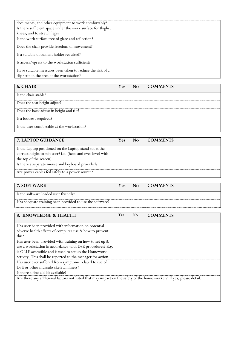| documents, and other equipment to work comfortably?          |  |  |
|--------------------------------------------------------------|--|--|
| Is there sufficient space under the work surface for thighs, |  |  |
| knees, and to stretch legs?                                  |  |  |
| Is the work surface free of glare and reflection?            |  |  |
| Does the chair provide freedom of movement?                  |  |  |
| Is a suitable document holder required?                      |  |  |
| Is access/egress to the workstation sufficient?              |  |  |
| Have suitable measures been taken to reduce the risk of a    |  |  |
| slip/trip in the area of the workstation?                    |  |  |

| 6. CHAIR                                    | <b>Yes</b> | N <sub>0</sub> | <b>COMMENTS</b> |
|---------------------------------------------|------------|----------------|-----------------|
| Is the chair stable?                        |            |                |                 |
| Does the seat height adjust?                |            |                |                 |
| Does the back adjust in height and tilt?    |            |                |                 |
| Is a footrest required?                     |            |                |                 |
| Is the user comfortable at the workstation? |            |                |                 |

| <b>7. LAPTOP GUIDANCE</b>                                                                                              | Yes | No. | <b>COMMENTS</b> |
|------------------------------------------------------------------------------------------------------------------------|-----|-----|-----------------|
| Is the Laptop positioned on the Laptop stand set at the<br>correct height to suit user? i.e. (head and eyes level with |     |     |                 |
| the top of the screen)                                                                                                 |     |     |                 |
| Is there a separate mouse and keyboard provided?                                                                       |     |     |                 |
| Are power cables fed safely to a power source?                                                                         |     |     |                 |

| <b>7. SOFTWARE</b>                                       | Yes | $\overline{N}$ | COMMENTS |
|----------------------------------------------------------|-----|----------------|----------|
| Is the software loaded user friendly?                    |     |                |          |
| Has adequate training been provided to use the software? |     |                |          |

| 8. KNOWLEDGE & HEALTH                                                                                                | Yes | N <sub>o</sub> | <b>COMMENTS</b> |
|----------------------------------------------------------------------------------------------------------------------|-----|----------------|-----------------|
|                                                                                                                      |     |                |                 |
| Has user been provided with information on potential                                                                 |     |                |                 |
| adverse health effects of computer use & how to prevent                                                              |     |                |                 |
| this?                                                                                                                |     |                |                 |
| Has user been provided with training on how to set up &                                                              |     |                |                 |
| use a workstation in accordance with DSE procedures? E.g.                                                            |     |                |                 |
| is OLLE accessible and is used to set up the Homework                                                                |     |                |                 |
| activity. This shall be reported to the manager for action.                                                          |     |                |                 |
| Has user ever suffered from symptoms related to use of                                                               |     |                |                 |
| DSE or other musculo-skeletal illness?                                                                               |     |                |                 |
| Is there a first aid kit available?                                                                                  |     |                |                 |
| Are there any additional factors not listed that may impact on the safety of the home worker? If yes, please detail. |     |                |                 |
|                                                                                                                      |     |                |                 |
|                                                                                                                      |     |                |                 |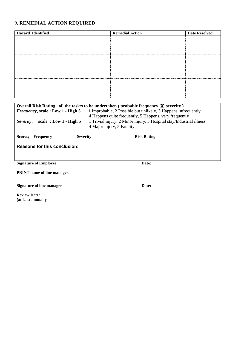# **9. REMEDIAL ACTION REQUIRED**

| <b>Hazard</b> Identified | <b>Remedial Action</b> | <b>Date Resolved</b> |
|--------------------------|------------------------|----------------------|
|                          |                        |                      |
|                          |                        |                      |
|                          |                        |                      |
|                          |                        |                      |
|                          |                        |                      |
|                          |                        |                      |
|                          |                        |                      |

| Overall Risk Rating of the task/s to be undertaken (probable frequency X severity)<br><i>Frequency</i> , scale: Low 1 - High 5<br>1 Improbable, 2 Possible but unlikely, 3 Happens infrequently<br>4 Happens quite frequently, 5 Happens, very frequently<br>1 Trivial injury, 2 Minor injury, 3 Hospital stay/Industrial illness<br>scale: $Low 1 - High 5$<br>Severity,<br>4 Major injury, 5 Fatality |                   |  |  |
|---------------------------------------------------------------------------------------------------------------------------------------------------------------------------------------------------------------------------------------------------------------------------------------------------------------------------------------------------------------------------------------------------------|-------------------|--|--|
| $Severity =$<br>$Frequency =$<br>Scores:                                                                                                                                                                                                                                                                                                                                                                | $Risk$ Rating $=$ |  |  |
| <b>Reasons for this conclusion:</b>                                                                                                                                                                                                                                                                                                                                                                     |                   |  |  |
| <b>Signature of Employee:</b>                                                                                                                                                                                                                                                                                                                                                                           | Date:             |  |  |
| <b>PRINT</b> name of line manager:                                                                                                                                                                                                                                                                                                                                                                      |                   |  |  |
| Signature of line manager                                                                                                                                                                                                                                                                                                                                                                               | Date:             |  |  |

**Review Date: (at least annually**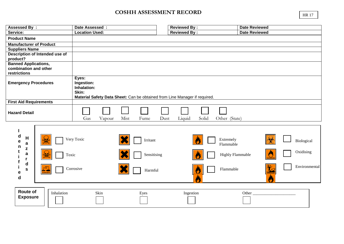# **COSHH ASSESSMENT RECORD**

| <b>Assessed By:</b>                                                                   | Date Assessed :                                                                                                           | <b>Reviewed By:</b>                                                            | <b>Date Reviewed</b>                     |
|---------------------------------------------------------------------------------------|---------------------------------------------------------------------------------------------------------------------------|--------------------------------------------------------------------------------|------------------------------------------|
| Service:                                                                              | <b>Location Used:</b>                                                                                                     | <b>Reviewed By:</b>                                                            | <b>Date Reviewed</b>                     |
| <b>Product Name</b>                                                                   |                                                                                                                           |                                                                                |                                          |
| <b>Manufacturer of Product</b>                                                        |                                                                                                                           |                                                                                |                                          |
| <b>Suppliers Name</b>                                                                 |                                                                                                                           |                                                                                |                                          |
| <b>Description of Intended use of</b>                                                 |                                                                                                                           |                                                                                |                                          |
| product?<br><b>Banned Applications,</b>                                               |                                                                                                                           |                                                                                |                                          |
| combination and other                                                                 |                                                                                                                           |                                                                                |                                          |
| restrictions                                                                          |                                                                                                                           |                                                                                |                                          |
| <b>Emergency Procedures</b>                                                           | Eyes:<br>Ingestion:<br>Inhalation:<br>Skin:<br>Material Safety Data Sheet: Can be obtained from Line Manager if required. |                                                                                |                                          |
| <b>First Aid Requirements</b>                                                         |                                                                                                                           |                                                                                |                                          |
| <b>Hazard Detail</b>                                                                  | Mist<br>Gas<br>Vapour<br>Fume<br>Dust                                                                                     | Solid<br>Liquid<br>Other (State)                                               |                                          |
| d<br>H<br>е<br>a<br>n<br>z<br>a<br>Toxic<br>r<br>d<br>$\mathbf s$<br>e<br>$\mathbf d$ | Very Toxic<br>Irritant<br>Sensitising<br>Corrosive<br>Harmful                                                             | Extremely<br>Flammable<br><b>Highly Flammable</b><br>Flammable<br>$\mathbf{C}$ | Biological<br>Oxidising<br>Environmental |
| <b>Route of</b><br>Inhalation<br><b>Exposure</b>                                      | Skin<br>Eyes                                                                                                              | Ingestion                                                                      | Other                                    |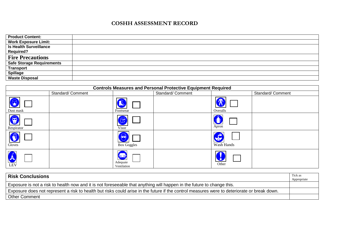# **COSHH ASSESSMENT RECORD**

| <b>Product Content:</b>          |  |
|----------------------------------|--|
| <b>Work Exposure Limit:</b>      |  |
| <b>Is Health Surveillance</b>    |  |
| <b>Required?</b>                 |  |
| <b>Fire Precautions</b>          |  |
| <b>Safe Storage Requirements</b> |  |
| <b>Transport</b>                 |  |
| <b>Spillage</b>                  |  |
| <b>Waste Disposal</b>            |  |

| <b>Controls Measures and Personal Protective Equipment Required</b> |                  |                                       |                  |            |                  |  |  |
|---------------------------------------------------------------------|------------------|---------------------------------------|------------------|------------|------------------|--|--|
|                                                                     | Standard/Comment |                                       | Standard/Comment |            | Standard/Comment |  |  |
| Dust mask                                                           |                  | Footwear                              |                  | Overalls   |                  |  |  |
| G<br>Respirator                                                     |                  | Visor                                 |                  | Apron      |                  |  |  |
| Gloves                                                              |                  | <b>Box Goggles</b>                    |                  | Wash Hands |                  |  |  |
| <b>LEV</b>                                                          |                  | <b>fin</b><br>Adequate<br>Ventilation |                  | Other      |                  |  |  |

| <b>Risk Conclusions</b>                                                                                                                     | Tick as<br>Appropriate |
|---------------------------------------------------------------------------------------------------------------------------------------------|------------------------|
| Exposure is not a risk to health now and it is not foreseeable that anything will happen in the future to change this.                      |                        |
| Exposure does not represent a risk to health but risks could arise in the future if the control measures were to deteriorate or break down. |                        |
| <b>Other Comment</b>                                                                                                                        |                        |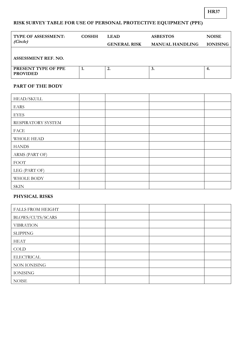# **RISK SURVEY TABLE FOR USE OF PERSONAL PROTECTIVE EQUIPMENT (PPE)**

| <b>TYPE OF ASSESSMENT:</b>             | <b>COSHH</b> | <b>LEAD</b>         | <b>ASBESTOS</b>        | <b>NOISE</b>    |
|----------------------------------------|--------------|---------------------|------------------------|-----------------|
| (Circle)                               |              | <b>GENERAL RISK</b> | <b>MANUAL HANDLING</b> | <b>IONISING</b> |
|                                        |              |                     |                        |                 |
| ASSESSMENT REF. NO.                    |              |                     |                        |                 |
| PRESENT TYPE OF PPE<br><b>PROVIDED</b> |              | ۷.                  | 3.                     | 4.              |

#### **PART OF THE BODY**

| HEAD/SKULL         |  |  |
|--------------------|--|--|
| <b>EARS</b>        |  |  |
| <b>EYES</b>        |  |  |
| RESPIRATORY SYSTEM |  |  |
| <b>FACE</b>        |  |  |
| <b>WHOLE HEAD</b>  |  |  |
| <b>HANDS</b>       |  |  |
| ARMS (PART OF)     |  |  |
| <b>FOOT</b>        |  |  |
| LEG (PART OF)      |  |  |
| WHOLE BODY         |  |  |
| <b>SKIN</b>        |  |  |

#### **PHYSICAL RISKS**

| <b>FALLS FROM HEIGHT</b> |  |  |
|--------------------------|--|--|
| BLOWS/CUTS/SCARS         |  |  |
| <b>VIBRATION</b>         |  |  |
| <b>SLIPPING</b>          |  |  |
| <b>HEAT</b>              |  |  |
| <b>COLD</b>              |  |  |
| <b>ELECTRICAL</b>        |  |  |
| NON IONISING             |  |  |
| <b>IONISING</b>          |  |  |
| <b>NOISE</b>             |  |  |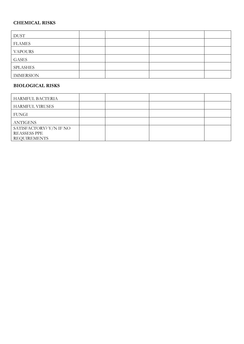### **CHEMICAL RISKS**

| <b>DUST</b>      |  |  |
|------------------|--|--|
| <b>FLAMES</b>    |  |  |
| <b>VAPOURS</b>   |  |  |
| <b>GASES</b>     |  |  |
| <b>SPLASHES</b>  |  |  |
| <b>IMMERSION</b> |  |  |

#### **BIOLOGICAL RISKS**

| HARMFUL BACTERIA        |  |  |
|-------------------------|--|--|
| <b>HARMFUL VIRUSES</b>  |  |  |
| <b>FUNGI</b>            |  |  |
| <b>ANTIGENS</b>         |  |  |
| SATISFACTORY? Y/N IF NO |  |  |
| <b>REASSESS PPE</b>     |  |  |
| <b>REQUIREMENTS</b>     |  |  |